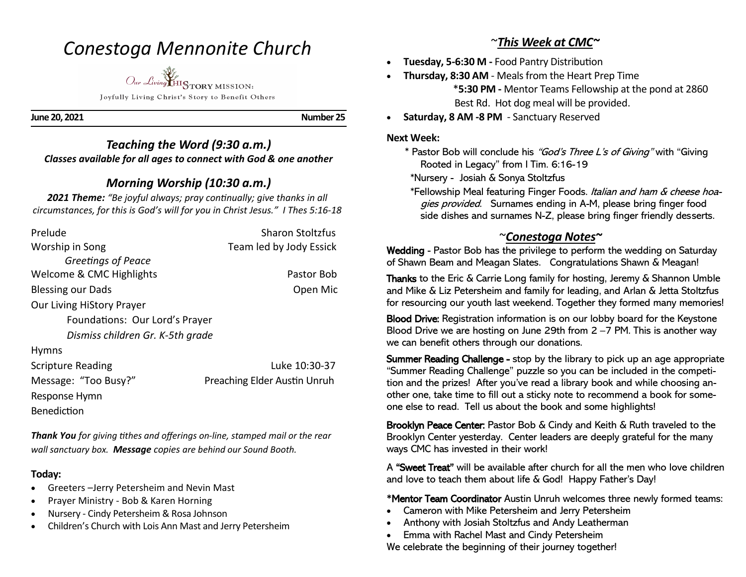# *Conestoga Mennonite Church*

*Our Living* HISTORY MISSION: Joyfully Living Christ's Story to Benefit Others

**June 20, 2021 Number 25** 

*Teaching the Word (9:30 a.m.) Classes available for all ages to connect with God & one another* 

## *Morning Worship (10:30 a.m.)*

*2021 Theme: "Be joyful always; pray continually; give thanks in all circumstances, for this is God's will for you in Christ Jesus." I Thes 5:16-18*

| Prelude                          | <b>Sharon Stoltzfus</b>      |
|----------------------------------|------------------------------|
| Worship in Song                  | Team led by Jody Essick      |
| Greetings of Peace               |                              |
| Welcome & CMC Highlights         | Pastor Bob                   |
| <b>Blessing our Dads</b>         | Open Mic                     |
| <b>Our Living HiStory Prayer</b> |                              |
| Foundations: Our Lord's Prayer   |                              |
| Dismiss children Gr. K-5th grade |                              |
| <b>Hymns</b>                     |                              |
| <b>Scripture Reading</b>         | Luke 10:30-37                |
| Message: "Too Busy?"             | Preaching Elder Austin Unruh |
| Response Hymn                    |                              |
| Benediction                      |                              |

*Thank You for giving tithes and offerings on-line, stamped mail or the rear wall sanctuary box. Message copies are behind our Sound Booth.*

### **Today:**

- Greeters –Jerry Petersheim and Nevin Mast
- Prayer Ministry Bob & Karen Horning
- Nursery Cindy Petersheim & Rosa Johnson
- Children's Church with Lois Ann Mast and Jerry Petersheim

## ~*This Week at CMC~*

- **Tuesday, 5-6:30 M -** Food Pantry Distribution
- **Thursday, 8:30 AM**  Meals from the Heart Prep Time \***5:30 PM -** Mentor Teams Fellowship at the pond at 2860 Best Rd. Hot dog meal will be provided.
- **Saturday, 8 AM -8 PM**  Sanctuary Reserved

#### **Next Week:**

- \* Pastor Bob will conclude his "God's Three L's of Giving" with "Giving Rooted in Legacy" from I Tim. 6:16-19
- \*Nursery Josiah & Sonya Stoltzfus
- \*Fellowship Meal featuring Finger Foods. Italian and ham & cheese hoagies provided. Surnames ending in A-M, please bring finger food side dishes and surnames N-Z, please bring finger friendly desserts.

## ~*Conestoga Notes~*

Wedding - Pastor Bob has the privilege to perform the wedding on Saturday of Shawn Beam and Meagan Slates. Congratulations Shawn & Meagan!

Thanks to the Eric & Carrie Long family for hosting, Jeremy & Shannon Umble and Mike & Liz Petersheim and family for leading, and Arlan & Jetta Stoltzfus for resourcing our youth last weekend. Together they formed many memories!

Blood Drive: Registration information is on our lobby board for the Keystone Blood Drive we are hosting on June 29th from 2 –7 PM. This is another way we can benefit others through our donations.

Summer Reading Challenge - stop by the library to pick up an age appropriate "Summer Reading Challenge" puzzle so you can be included in the competition and the prizes! After you've read a library book and while choosing another one, take time to fill out a sticky note to recommend a book for someone else to read. Tell us about the book and some highlights!

Brooklyn Peace Center: Pastor Bob & Cindy and Keith & Ruth traveled to the Brooklyn Center yesterday. Center leaders are deeply grateful for the many ways CMC has invested in their work!

A "Sweet Treat" will be available after church for all the men who love children and love to teach them about life & God! Happy Father's Day!

**\***Mentor Team Coordinator Austin Unruh welcomes three newly formed teams:

- Cameron with Mike Petersheim and Jerry Petersheim
- Anthony with Josiah Stoltzfus and Andy Leatherman
- Emma with Rachel Mast and Cindy Petersheim

We celebrate the beginning of their journey together!